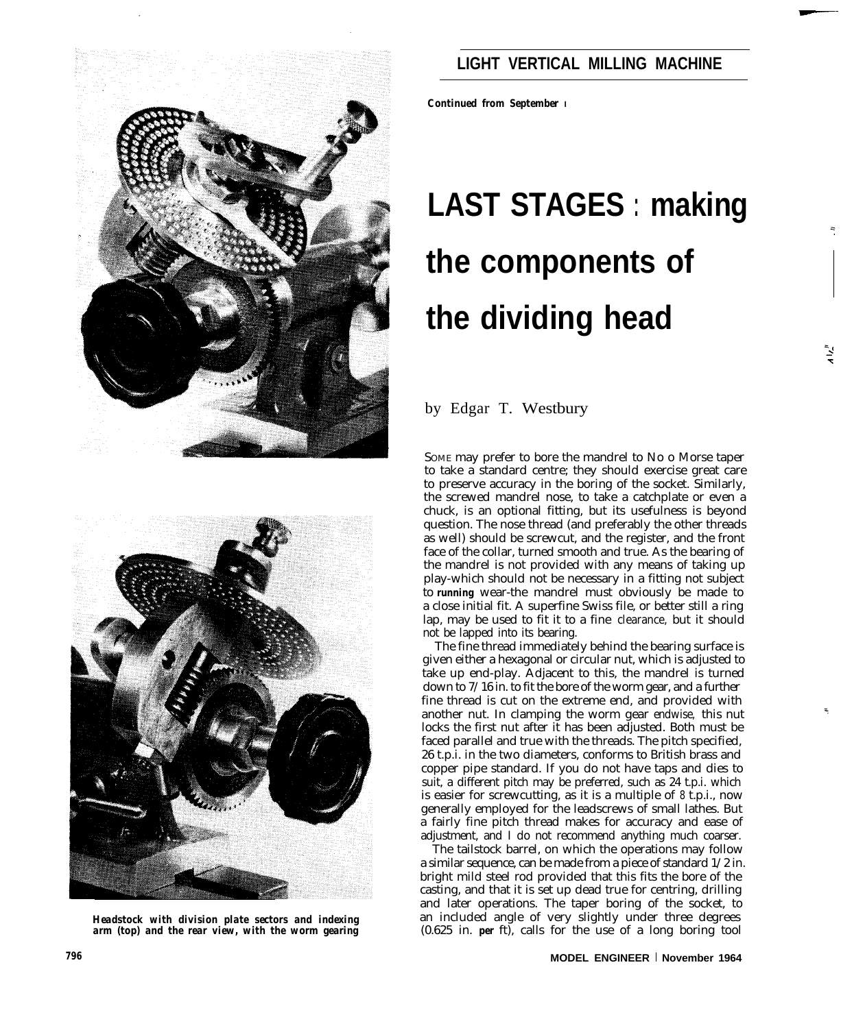

## **LIGHT VERTICAL MILLING MACHINE**

*Continued from September I*

# **LAST STAGES : making the components of the dividing head**

by Edgar T. Westbury

SOME may prefer to bore the mandrel to No o Morse taper to take a standard centre; they should exercise great care to preserve accuracy in the boring of the socket. Similarly, the screwed mandrel nose, to take a catchplate or even a chuck, is an optional fitting, but its usefulness is beyond question. The nose thread (and preferably the other threads as well) should be screwcut, and the register, and the front face of the collar, turned smooth and true. As the bearing of the mandrel is not provided with any means of taking up play-which should not be necessary in a fitting not subject to *running* wear-the mandrel must obviously be made to a close initial fit. A superfine Swiss file, or better still a ring lap, may be used to fit it to a fine clearance, but it should not be lapped into its bearing.

The fine thread immediately behind the bearing surface is given either a hexagonal or circular nut, which is adjusted to take up end-play. Adjacent to this, the mandrel is turned down to 7/16 in. to fit the bore of the worm gear, and a further fine thread is cut on the extreme end, and provided with another nut. In clamping the worm gear endwise, this nut locks the first nut after it has been adjusted. Both must be faced parallel and true with the threads. The pitch specified, 26 t.p.i. in the two diameters, conforms to British brass and copper pipe standard. If you do not have taps and dies to suit, a different pitch may be preferred, such as 24 t.p.i. which is easier for screwcutting, as it is a multiple of 8 t.p.i., now generally employed for the leadscrews of small lathes. But a fairly fine pitch thread makes for accuracy and ease of adjustment, and I do not recommend anything much coarser.

The tailstock barrel, on which the operations may follow a similar sequence, can be made from a piece of standard 1/2 in. bright mild steel rod provided that this fits the bore of the casting, and that it is set up dead true for centring, drilling and later operations. The taper boring of the socket, to an included angle of very slightly under three degrees (0.625 in. *per* ft), calls for the use of a long boring tool



*Headstock with division plate sectors and indexing arm (top) and the rear view, with the worm gearing*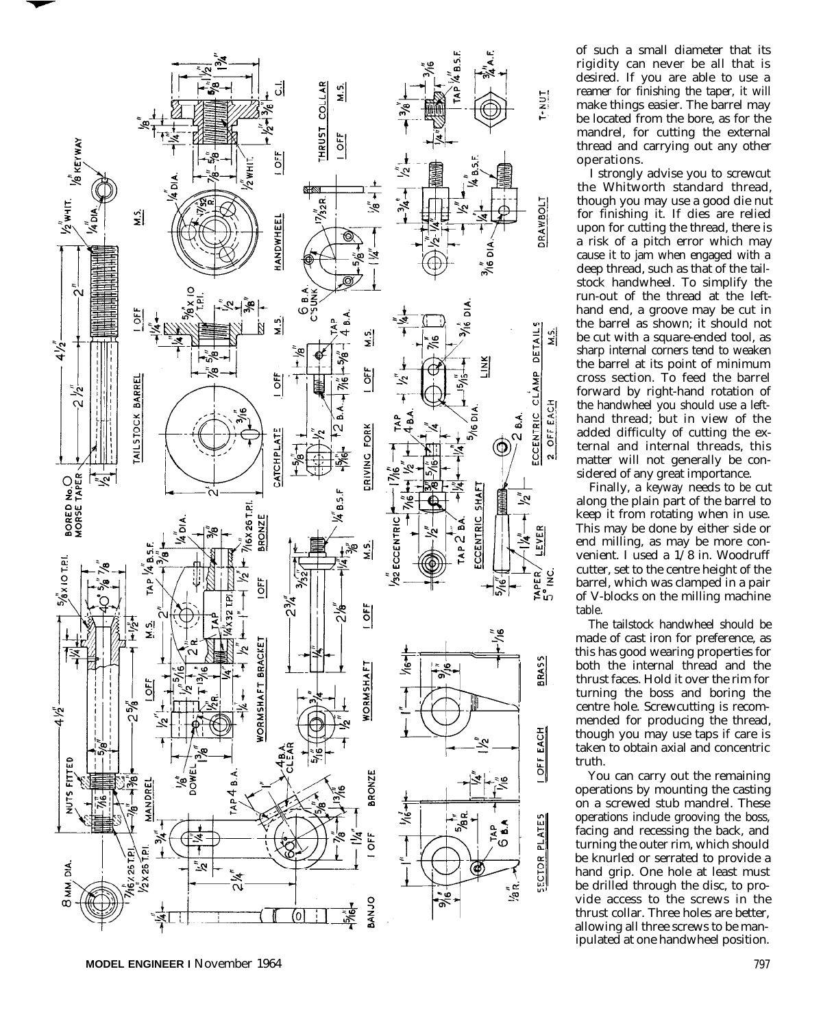

of such a small diameter that its rigidity can never be all that is desired. If you are able to use a reamer for finishing the taper, it will make things easier. The barrel may be located from the bore, as for the mandrel, for cutting the external thread and carrying out any other operations.

I strongly advise you to screwcut the Whitworth standard thread, though you may use a good die nut for finishing it. If dies are relied upon for cutting the thread, there is a risk of a pitch error which may cause it to jam when engaged with a deep thread, such as that of the tailstock handwheel. To simplify the run-out of the thread at the lefthand end, a groove may be cut in the barrel as shown; it should not be cut with a square-ended tool, as sharp internal corners tend to weaken the barrel at its point of minimum cross section. To feed the barrel forward by right-hand rotation of the handwheel you should use a lefthand thread; but in view of the added difficulty of cutting the external and internal threads, this matter will not generally be considered of any great importance.

Finally, a keyway needs to be cut along the plain part of the barrel to keep it from rotating when in use. This may be done by either side or end milling, as may be more convenient. I used a 1/8 in. Woodruff cutter, set to the centre height of the barrel, which was clamped in a pair of V-blocks on the milling machine table.

The tailstock handwheel should be made of cast iron for preference, as this has good wearing properties for both the internal thread and the thrust faces. Hold it over the rim for turning the boss and boring the centre hole. Screwcutting is recommended for producing the thread, though you may use taps if care is taken to obtain axial and concentric truth.

You can carry out the remaining operations by mounting the casting on a screwed stub mandrel. These operations include grooving the boss, facing and recessing the back, and turning the outer rim, which should be knurled or serrated to provide a hand grip. One hole at least must be drilled through the disc, to provide access to the screws in the thrust collar. Three holes are better, allowing all three screws to be manipulated at one handwheel position.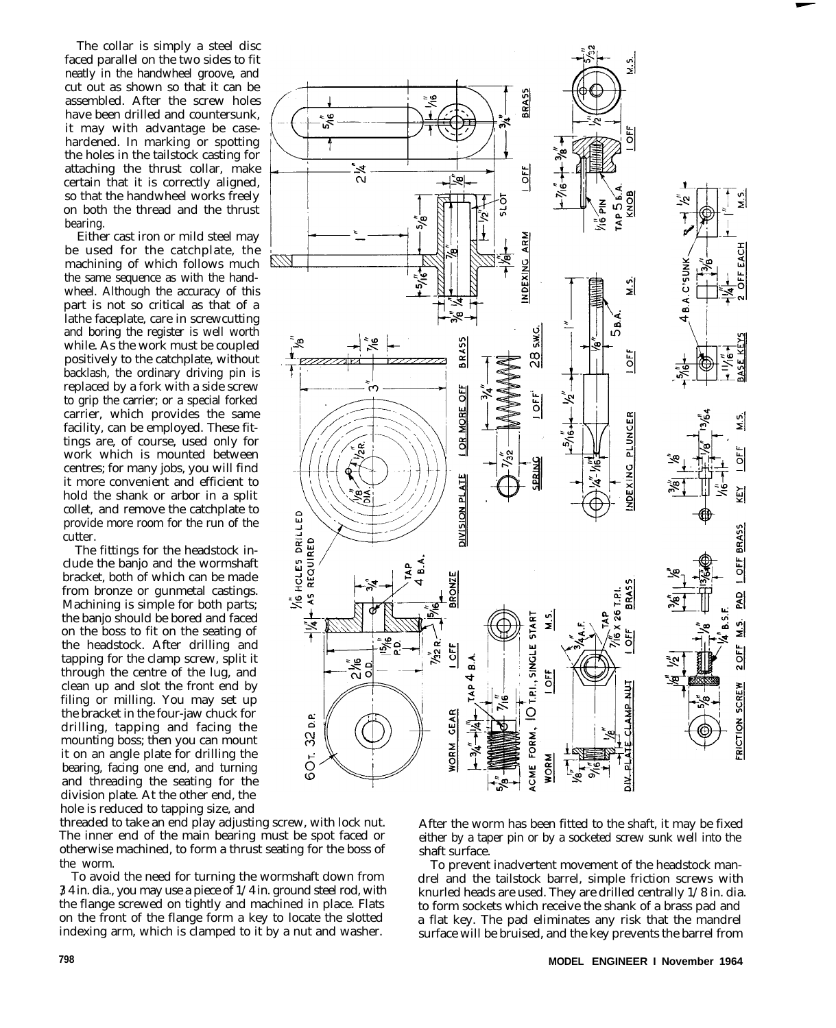The collar is simply a steel disc faced parallel on the two sides to fit neatly in the handwheel groove, and cut out as shown so that it can be assembled. After the screw holes have been drilled and countersunk, it may with advantage be casehardened. In marking or spotting the holes in the tailstock casting for attaching the thrust collar, make certain that it is correctly aligned, so that the handwheel works freely on both the thread and the thrust bearing.

Either cast iron or mild steel may be used for the catchplate, the machining of which follows much the same sequence as with the handwheel. Although the accuracy of this part is not so critical as that of a lathe faceplate, care in screwcutting and boring the register is well worth while. As the work must be coupled positively to the catchplate, without backlash, the ordinary driving pin is replaced by a fork with a side screw to grip the carrier; or a special forked carrier, which provides the same facility, can be employed. These fittings are, of course, used only for work which is mounted between centres; for many jobs, you will find it more convenient and efficient to hold the shank or arbor in a split collet, and remove the catchplate to provide more room for the run of the cutter.

The fittings for the headstock include the banjo and the wormshaft bracket, both of which can be made from bronze or gunmetal castings. Machining is simple for both parts; the banjo should be bored and faced on the boss to fit on the seating of the headstock. After drilling and tapping for the clamp screw, split it through the centre of the lug, and clean up and slot the front end by filing or milling. You may set up the bracket in the four-jaw chuck for drilling, tapping and facing the mounting boss; then you can mount it on an angle plate for drilling the bearing, facing one end, and turning and threading the seating for the division plate. At the other end, the hole is reduced to tapping size, and



To avoid the need for turning the wormshaft down from 3/4 in. dia., you may use a piece of 1/4 in. ground steel rod, with the flange screwed on tightly and machined in place. Flats on the front of the flange form a key to locate the slotted indexing arm, which is clamped to it by a nut and washer.



After the worm has been fitted to the shaft, it may be fixed either by a taper pin or by a socketed screw sunk well into the shaft surface.

To prevent inadvertent movement of the headstock mandrel and the tailstock barrel, simple friction screws with knurled heads are used. They are drilled centrally 1/8 in. dia. to form sockets which receive the shank of a brass pad and a flat key. The pad eliminates any risk that the mandrel surface will be bruised, and the key prevents the barrel from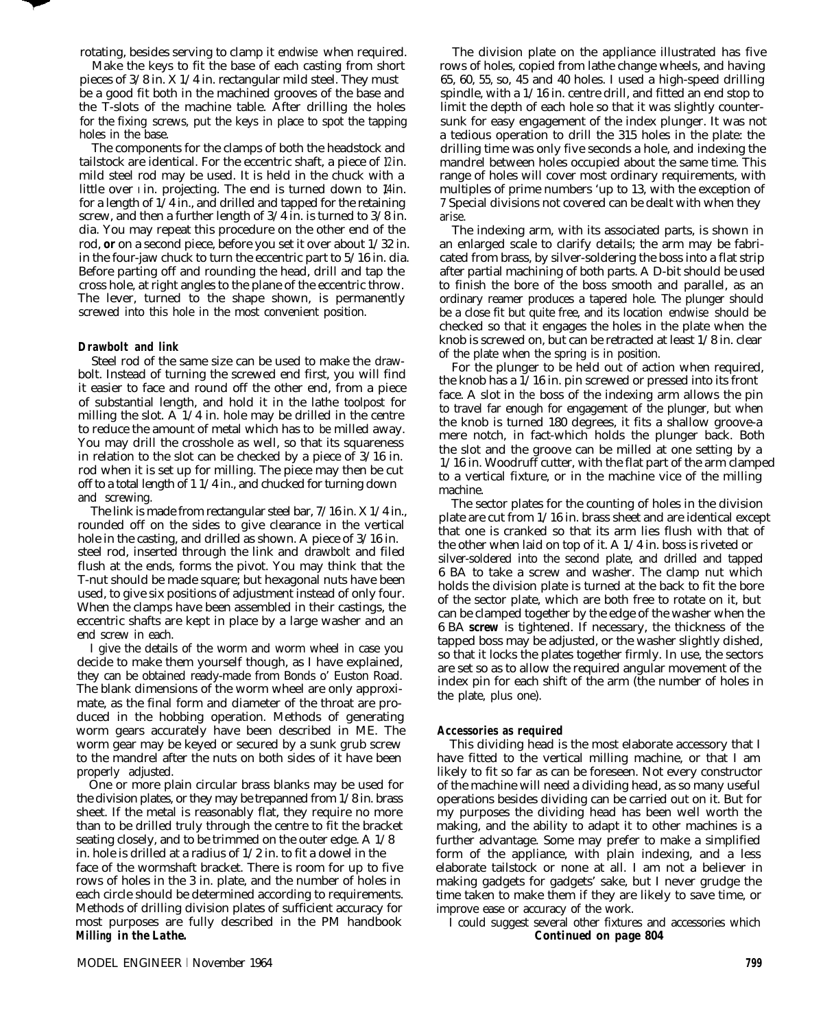rotating, besides serving to clamp it endwise when required.

Make the keys to fit the base of each casting from short pieces of 3/8 in. X 1/4 in. rectangular mild steel. They must be a good fit both in the machined grooves of the base and the T-slots of the machine table. After drilling the holes for the fixing screws, put the keys in place to spot the tapping holes in the base.

The components for the clamps of both the headstock and tailstock are identical. For the eccentric shaft, a piece of  $\ell$  in. mild steel rod may be used. It is held in the chuck with a little over *i* in. projecting. The end is turned down to  $\text{Min}$ . for a length of  $1/4$  in., and drilled and tapped for the retaining screw, and then a further length of 3/4 in. is turned to 3/8 in. dia. You may repeat this procedure on the other end of the rod, *or* on a second piece, before you set it over about 1/32 in. in the four-jaw chuck to turn the eccentric part to 5/16 in. dia. Before parting off and rounding the head, drill and tap the cross hole, at right angles to the plane of the eccentric throw. The lever, turned to the shape shown, is permanently screwed into this hole in the most convenient position.

### **Drawbolt and link**

Steel rod of the same size can be used to make the drawbolt. Instead of turning the screwed end first, you will find it easier to face and round off the other end, from a piece of substantial length, and hold it in the lathe toolpost for milling the slot. A 1/4 in. hole may be drilled in the centre to reduce the amount of metal which has to be milled away. You may drill the crosshole as well, so that its squareness in relation to the slot can be checked by a piece of 3/16 in. rod when it is set up for milling. The piece may then be cut off to a total length of 1 1/4 in., and chucked for turning down and screwing.

The link is made from rectangular steel bar, 7/16 in. X 1/4 in., rounded off on the sides to give clearance in the vertical hole in the casting, and drilled as shown. A piece of  $3/16$  in. steel rod, inserted through the link and drawbolt and filed flush at the ends, forms the pivot. You may think that the T-nut should be made square; but hexagonal nuts have been used, to give six positions of adjustment instead of only four. When the clamps have been assembled in their castings, the eccentric shafts are kept in place by a large washer and an end screw in each.

I give the details of the worm and worm wheel in case you decide to make them yourself though, as I have explained, they can be obtained ready-made from Bonds o' Euston Road. The blank dimensions of the worm wheel are only approximate, as the final form and diameter of the throat are produced in the hobbing operation. Methods of generating worm gears accurately have been described in ME. The worm gear may be keyed or secured by a sunk grub screw to the mandrel after the nuts on both sides of it have been properly adjusted.

One or more plain circular brass blanks may be used for the division plates, or they may be trepanned from 1/8 in. brass sheet. If the metal is reasonably flat, they require no more than to be drilled truly through the centre to fit the bracket seating closely, and to be trimmed on the outer edge. A 1/8 in. hole is drilled at a radius of 1/2 in. to fit a dowel in the face of the wormshaft bracket. There is room for up to five rows of holes in the 3 in. plate, and the number of holes in each circle should be determined according to requirements. Methods of drilling division plates of sufficient accuracy for most purposes are fully described in the PM handbook *Milling in the Lathe.*

The division plate on the appliance illustrated has five rows of holes, copied from lathe change wheels, and having 65, 60, 55, so, 45 and 40 holes. I used a high-speed drilling spindle, with a 1/16 in. centre drill, and fitted an end stop to limit the depth of each hole so that it was slightly countersunk for easy engagement of the index plunger. It was not a tedious operation to drill the 315 holes in the plate: the drilling time was only five seconds a hole, and indexing the mandrel between holes occupied about the same time. This range of holes will cover most ordinary requirements, with multiples of prime numbers 'up to 13, with the exception of 7 Special divisions not covered can be dealt with when they arise.

The indexing arm, with its associated parts, is shown in an enlarged scale to clarify details; the arm may be fabricated from brass, by silver-soldering the boss into a flat strip after partial machining of both parts. A D-bit should be used to finish the bore of the boss smooth and parallel, as an ordinary reamer produces a tapered hole. The plunger should be a close fit but quite free, and its location endwise should be checked so that it engages the holes in the plate when the knob is screwed on, but can be retracted at least 1/8 in. clear of the plate when the spring is in position.

For the plunger to be held out of action when required, the knob has a  $1/16$  in. pin screwed or pressed into its front face. A slot in the boss of the indexing arm allows the pin to travel far enough for engagement of the plunger, but when the knob is turned 180 degrees, it fits a shallow groove-a mere notch, in fact-which holds the plunger back. Both the slot and the groove can be milled at one setting by a 1/16 in. Woodruff cutter, with the flat part of the arm clamped to a vertical fixture, or in the machine vice of the milling machine.

The sector plates for the counting of holes in the division plate are cut from 1/16 in. brass sheet and are identical except that one is cranked so that its arm lies flush with that of the other when laid on top of it. A 1/4 in. boss is riveted or silver-soldered into the second plate, and drilled and tapped 6 BA to take a screw and washer. The clamp nut which holds the division plate is turned at the back to fit the bore of the sector plate, which are both free to rotate on it, but can be clamped together by the edge of the washer when the 6 BA *screw* is tightened. If necessary, the thickness of the tapped boss may be adjusted, or the washer slightly dished, so that it locks the plates together firmly. In use, the sectors are set so as to allow the required angular movement of the index pin for each shift of the arm (the number of holes in the plate, plus one).

#### **Accessories as required**

This dividing head is the most elaborate accessory that I have fitted to the vertical milling machine, or that I am likely to fit so far as can be foreseen. Not every constructor of the machine will need a dividing head, as so many useful operations besides dividing can be carried out on it. But for my purposes the dividing head has been well worth the making, and the ability to adapt it to other machines is a further advantage. Some may prefer to make a simplified form of the appliance, with plain indexing, and a less elaborate tailstock or none at all. I am not a believer in making gadgets for gadgets' sake, but I never grudge the time taken to make them if they are likely to save time, or improve ease or accuracy of the work.

I could suggest several other fixtures and accessories which *Continued on page 804*